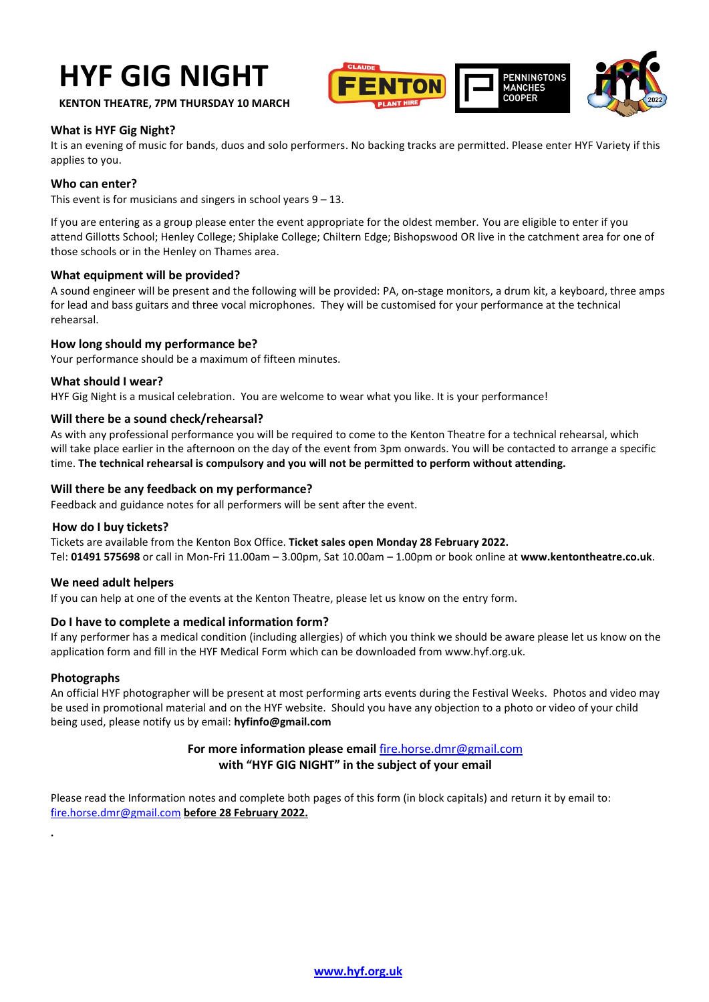# **HYF GIG NIGHT**



**KENTON THEATRE, 7PM THURSDAY 10 MARCH**

## **What is HYF Gig Night?**

It is an evening of music for bands, duos and solo performers. No backing tracks are permitted. Please enter HYF Variety if this applies to you.

## **Who can enter?**

This event is for musicians and singers in school years  $9 - 13$ .

If you are entering as a group please enter the event appropriate for the oldest member. You are eligible to enter if you attend Gillotts School; Henley College; Shiplake College; Chiltern Edge; Bishopswood OR live in the catchment area for one of those schools or in the Henley on Thames area.

#### **What equipment will be provided?**

A sound engineer will be present and the following will be provided: PA, on-stage monitors, a drum kit, a keyboard, three amps for lead and bass guitars and three vocal microphones. They will be customised for your performance at the technical rehearsal.

## **How long should my performance be?**

Your performance should be a maximum of fifteen minutes.

#### **What should I wear?**

HYF Gig Night is a musical celebration. You are welcome to wear what you like. It is your performance!

## **Will there be a sound check/rehearsal?**

As with any professional performance you will be required to come to the Kenton Theatre for a technical rehearsal, which will take place earlier in the afternoon on the day of the event from 3pm onwards. You will be contacted to arrange a specific time. **The technical rehearsal is compulsory and you will not be permitted to perform without attending.**

#### **Will there be any feedback on my performance?**

Feedback and guidance notes for all performers will be sent after the event.

#### **How do I buy tickets?**

Tickets are available from the Kenton Box Office. **Ticket sales open Monday 28 February 2022.** Tel: **01491 575698** or call in Mon-Fri 11.00am – 3.00pm, Sat 10.00am – 1.00pm or book online at **[www.kentontheatre.co.uk](http://www.kentontheatre.co.uk/)**.

## **We need adult helpers**

If you can help at one of the events at the Kenton Theatre, please let us know on the [entry form.](http://www.hyf.org.uk/media/13759-hyf%20entry%20form%20music%20makers.pdf)

## **Do I have to complete a medical information form?**

If any performer has a medical condition (including allergies) of which you think we should be aware please let us know on the application form and fill in the HYF Medical Form which can be downloaded from www.hyf.org.uk.

## **Photographs**

**.**

An official HYF photographer will be present at most performing arts events during the Festival Weeks. Photos and video may be used in promotional material and on the HYF website. Should you have any objection to a photo or video of your child being used, please notify us by email: **hyfinfo@gmail.com**

## **For more information please email** [fire.horse.dmr@gmail.com](mailto:fire.horse.dmr@gmail.com) **with "HYF GIG NIGHT" in the subject of your email**

Please read the Information notes and complete both pages of this form (in block capitals) and return it by email to: [fire.horse.dmr@gmail.com](mailto:fire.horse.dmr@gmail.com) **before 28 February 2022.**

**[www.hyf.org.uk](http://www.hyf.org.uk/)**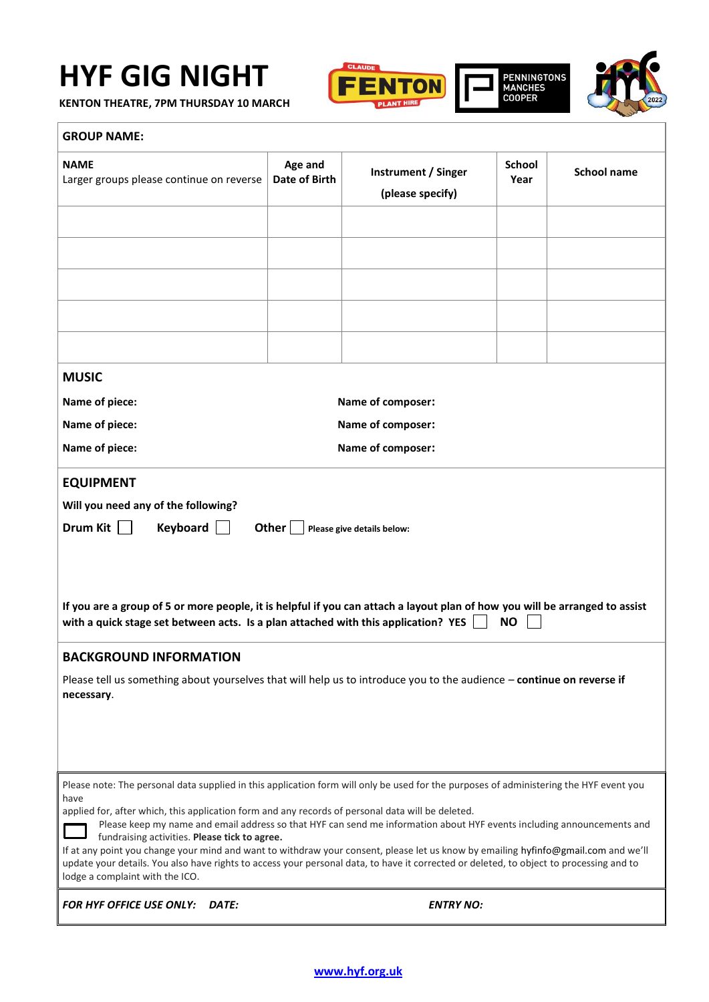## **HYF GIG NIGHT**

**KENTON THEATRE, 7PM THURSDAY 10 MARCH**





| <b>NAME</b><br>Larger groups please continue on reverse                                                                                                                                                                                                                                                                                                                                                                                                                                                                                                                                                                                                                                                                                            | Age and<br>Date of Birth | Instrument / Singer<br>(please specify) | <b>School</b><br>Year | <b>School name</b> |  |  |
|----------------------------------------------------------------------------------------------------------------------------------------------------------------------------------------------------------------------------------------------------------------------------------------------------------------------------------------------------------------------------------------------------------------------------------------------------------------------------------------------------------------------------------------------------------------------------------------------------------------------------------------------------------------------------------------------------------------------------------------------------|--------------------------|-----------------------------------------|-----------------------|--------------------|--|--|
|                                                                                                                                                                                                                                                                                                                                                                                                                                                                                                                                                                                                                                                                                                                                                    |                          |                                         |                       |                    |  |  |
|                                                                                                                                                                                                                                                                                                                                                                                                                                                                                                                                                                                                                                                                                                                                                    |                          |                                         |                       |                    |  |  |
|                                                                                                                                                                                                                                                                                                                                                                                                                                                                                                                                                                                                                                                                                                                                                    |                          |                                         |                       |                    |  |  |
| <b>MUSIC</b>                                                                                                                                                                                                                                                                                                                                                                                                                                                                                                                                                                                                                                                                                                                                       |                          |                                         |                       |                    |  |  |
| Name of composer:<br>Name of piece:                                                                                                                                                                                                                                                                                                                                                                                                                                                                                                                                                                                                                                                                                                                |                          |                                         |                       |                    |  |  |
| Name of piece:                                                                                                                                                                                                                                                                                                                                                                                                                                                                                                                                                                                                                                                                                                                                     | Name of composer:        |                                         |                       |                    |  |  |
| Name of piece:                                                                                                                                                                                                                                                                                                                                                                                                                                                                                                                                                                                                                                                                                                                                     | Name of composer:        |                                         |                       |                    |  |  |
| <b>EQUIPMENT</b><br>Will you need any of the following?<br>Drum Kit    <br>Keyboard<br>Other $ $<br>Please give details below:<br>If you are a group of 5 or more people, it is helpful if you can attach a layout plan of how you will be arranged to assist<br><b>NO</b><br>with a quick stage set between acts. Is a plan attached with this application? YES<br><b>BACKGROUND INFORMATION</b>                                                                                                                                                                                                                                                                                                                                                  |                          |                                         |                       |                    |  |  |
| Please tell us something about yourselves that will help us to introduce you to the audience - continue on reverse if<br>necessary.                                                                                                                                                                                                                                                                                                                                                                                                                                                                                                                                                                                                                |                          |                                         |                       |                    |  |  |
| Please note: The personal data supplied in this application form will only be used for the purposes of administering the HYF event you<br>have<br>applied for, after which, this application form and any records of personal data will be deleted.<br>Please keep my name and email address so that HYF can send me information about HYF events including announcements and<br>fundraising activities. Please tick to agree.<br>If at any point you change your mind and want to withdraw your consent, please let us know by emailing hyfinfo@gmail.com and we'll<br>update your details. You also have rights to access your personal data, to have it corrected or deleted, to object to processing and to<br>lodge a complaint with the ICO. |                          |                                         |                       |                    |  |  |
| <b>FOR HYF OFFICE USE ONLY:</b><br><b>DATE:</b>                                                                                                                                                                                                                                                                                                                                                                                                                                                                                                                                                                                                                                                                                                    |                          | <b>ENTRY NO:</b>                        |                       |                    |  |  |